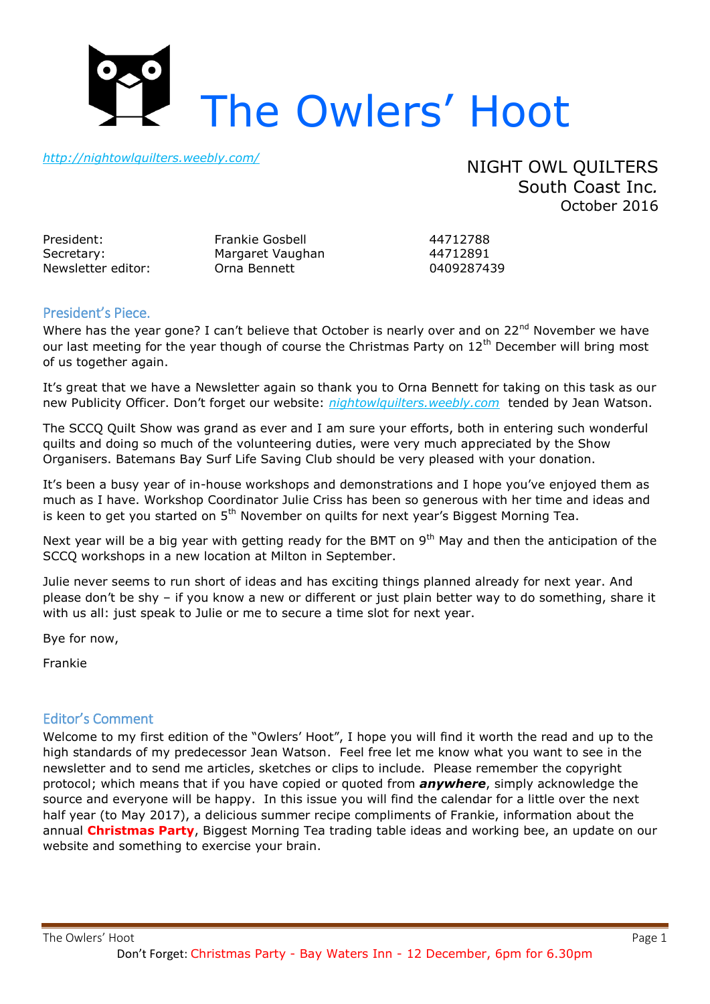

*<http://nightowlquilters.weebly.com/>*

NIGHT OWL QUILTERS South Coast Inc*.* October 2016

| President:         |  |
|--------------------|--|
| Secretary:         |  |
| Newsletter editor: |  |

Frankie Gosbell 44712788 Margaret Vaughan 44712891 Newsletter editor: Orna Bennett 0409287439

## President's Piece.

Where has the year gone? I can't believe that October is nearly over and on 22<sup>nd</sup> November we have our last meeting for the year though of course the Christmas Party on 12<sup>th</sup> December will bring most of us together again.

It's great that we have a Newsletter again so thank you to Orna Bennett for taking on this task as our new Publicity Officer. Don't forget our website: *nightowlquilters.weebly.com* tended by Jean Watson.

The SCCQ Quilt Show was grand as ever and I am sure your efforts, both in entering such wonderful quilts and doing so much of the volunteering duties, were very much appreciated by the Show Organisers. Batemans Bay Surf Life Saving Club should be very pleased with your donation.

It's been a busy year of in-house workshops and demonstrations and I hope you've enjoyed them as much as I have. Workshop Coordinator Julie Criss has been so generous with her time and ideas and is keen to get you started on  $5<sup>th</sup>$  November on quilts for next year's Biggest Morning Tea.

Next year will be a big year with getting ready for the BMT on 9<sup>th</sup> May and then the anticipation of the SCCQ workshops in a new location at Milton in September.

Julie never seems to run short of ideas and has exciting things planned already for next year. And please don't be shy – if you know a new or different or just plain better way to do something, share it with us all: just speak to Julie or me to secure a time slot for next year.

Bye for now,

Frankie

### Editor's Comment

Welcome to my first edition of the "Owlers' Hoot", I hope you will find it worth the read and up to the high standards of my predecessor Jean Watson. Feel free let me know what you want to see in the newsletter and to send me articles, sketches or clips to include. Please remember the copyright protocol; which means that if you have copied or quoted from *anywhere*, simply acknowledge the source and everyone will be happy. In this issue you will find the calendar for a little over the next half year (to May 2017), a delicious summer recipe compliments of Frankie, information about the annual **Christmas Party**, Biggest Morning Tea trading table ideas and working bee, an update on our website and something to exercise your brain.

The Owlers' Hoot **Page 1** 

Don't Forget: Christmas Party - Bay Waters Inn - 12 December, 6pm for 6.30pm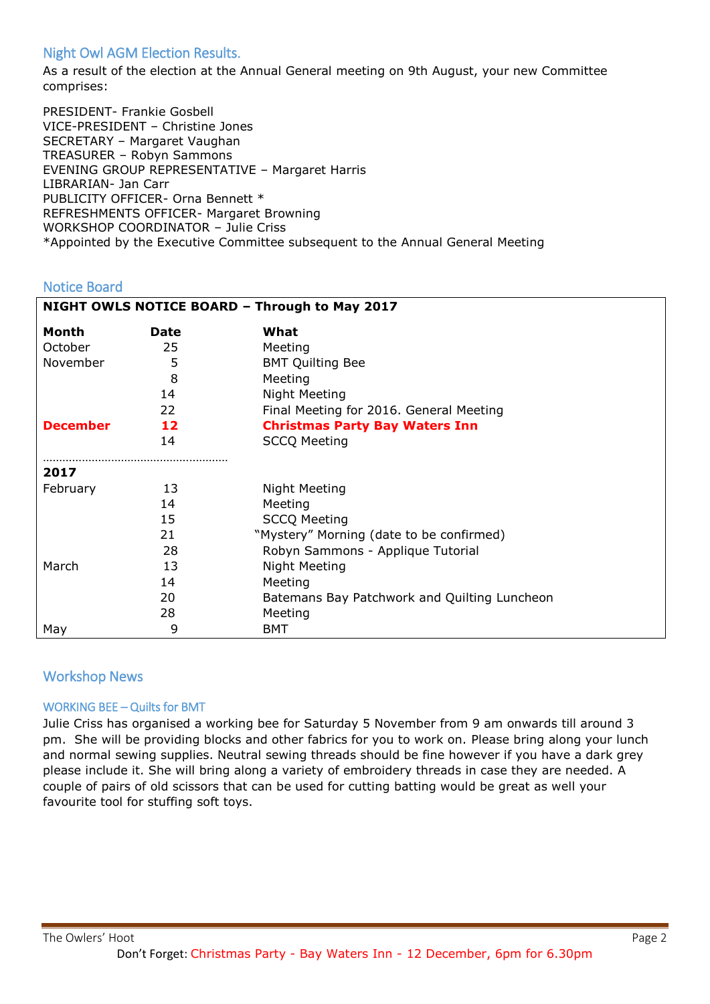# Night Owl AGM Election Results.

As a result of the election at the Annual General meeting on 9th August, your new Committee comprises:

PRESIDENT- Frankie Gosbell VICE-PRESIDENT – Christine Jones SECRETARY – Margaret Vaughan TREASURER – Robyn Sammons EVENING GROUP REPRESENTATIVE – Margaret Harris LIBRARIAN- Jan Carr PUBLICITY OFFICER- Orna Bennett \* REFRESHMENTS OFFICER- Margaret Browning WORKSHOP COORDINATOR – Julie Criss \*Appointed by the Executive Committee subsequent to the Annual General Meeting

## Notice Board

| NIGHT OWLS NOTICE BOARD - Through to May 2017 |      |                                              |  |
|-----------------------------------------------|------|----------------------------------------------|--|
| <b>Month</b>                                  | Date | What                                         |  |
| October                                       | 25   | Meeting                                      |  |
| November                                      | 5    | <b>BMT Quilting Bee</b>                      |  |
|                                               | 8    | Meeting                                      |  |
|                                               | 14   | Night Meeting                                |  |
|                                               | 22   | Final Meeting for 2016. General Meeting      |  |
| <b>December</b>                               | 12   | <b>Christmas Party Bay Waters Inn</b>        |  |
|                                               | 14   | <b>SCCQ Meeting</b>                          |  |
| 2017                                          |      |                                              |  |
| February                                      | 13   | Night Meeting                                |  |
|                                               | 14   | Meeting                                      |  |
|                                               | 15   | <b>SCCQ Meeting</b>                          |  |
|                                               | 21   | "Mystery" Morning (date to be confirmed)     |  |
|                                               | 28   | Robyn Sammons - Applique Tutorial            |  |
| March                                         | 13   | Night Meeting                                |  |
|                                               | 14   | Meeting                                      |  |
|                                               | 20   | Batemans Bay Patchwork and Quilting Luncheon |  |
|                                               | 28   | Meeting                                      |  |
| May                                           | 9    | BMT                                          |  |

## Workshop News

### WORKING BEE – Quilts for BMT

Julie Criss has organised a working bee for Saturday 5 November from 9 am onwards till around 3 pm. She will be providing blocks and other fabrics for you to work on. Please bring along your lunch and normal sewing supplies. Neutral sewing threads should be fine however if you have a dark grey please include it. She will bring along a variety of embroidery threads in case they are needed. A couple of pairs of old scissors that can be used for cutting batting would be great as well your favourite tool for stuffing soft toys.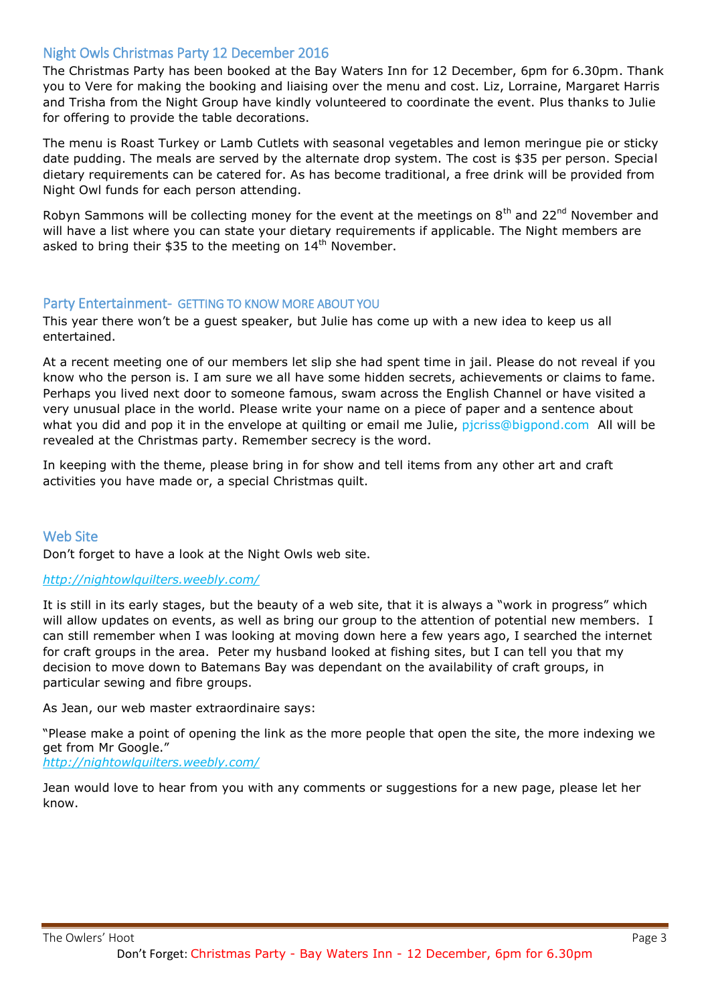## Night Owls Christmas Party 12 December 2016

The Christmas Party has been booked at the Bay Waters Inn for 12 December, 6pm for 6.30pm. Thank you to Vere for making the booking and liaising over the menu and cost. Liz, Lorraine, Margaret Harris and Trisha from the Night Group have kindly volunteered to coordinate the event. Plus thanks to Julie for offering to provide the table decorations.

The menu is Roast Turkey or Lamb Cutlets with seasonal vegetables and lemon meringue pie or sticky date pudding. The meals are served by the alternate drop system. The cost is \$35 per person. Special dietary requirements can be catered for. As has become traditional, a free drink will be provided from Night Owl funds for each person attending.

Robyn Sammons will be collecting money for the event at the meetings on 8<sup>th</sup> and 22<sup>nd</sup> November and will have a list where you can state your dietary requirements if applicable. The Night members are asked to bring their \$35 to the meeting on 14<sup>th</sup> November.

### Party Entertainment- GETTING TO KNOW MORE ABOUT YOU

This year there won't be a guest speaker, but Julie has come up with a new idea to keep us all entertained.

At a recent meeting one of our members let slip she had spent time in jail. Please do not reveal if you know who the person is. I am sure we all have some hidden secrets, achievements or claims to fame. Perhaps you lived next door to someone famous, swam across the English Channel or have visited a very unusual place in the world. Please write your name on a piece of paper and a sentence about what you did and pop it in the envelope at quilting or email me Julie, picriss@bigpond.com All will be revealed at the Christmas party. Remember secrecy is the word.

In keeping with the theme, please bring in for show and tell items from any other art and craft activities you have made or, a special Christmas quilt.

### Web Site

Don't forget to have a look at the Night Owls web site.

#### *<http://nightowlquilters.weebly.com/>*

It is still in its early stages, but the beauty of a web site, that it is always a "work in progress" which will allow updates on events, as well as bring our group to the attention of potential new members. I can still remember when I was looking at moving down here a few years ago, I searched the internet for craft groups in the area. Peter my husband looked at fishing sites, but I can tell you that my decision to move down to Batemans Bay was dependant on the availability of craft groups, in particular sewing and fibre groups.

As Jean, our web master extraordinaire says:

"Please make a point of opening the link as the more people that open the site, the more indexing we get from Mr Google."

*<http://nightowlquilters.weebly.com/>*

Jean would love to hear from you with any comments or suggestions for a new page, please let her know.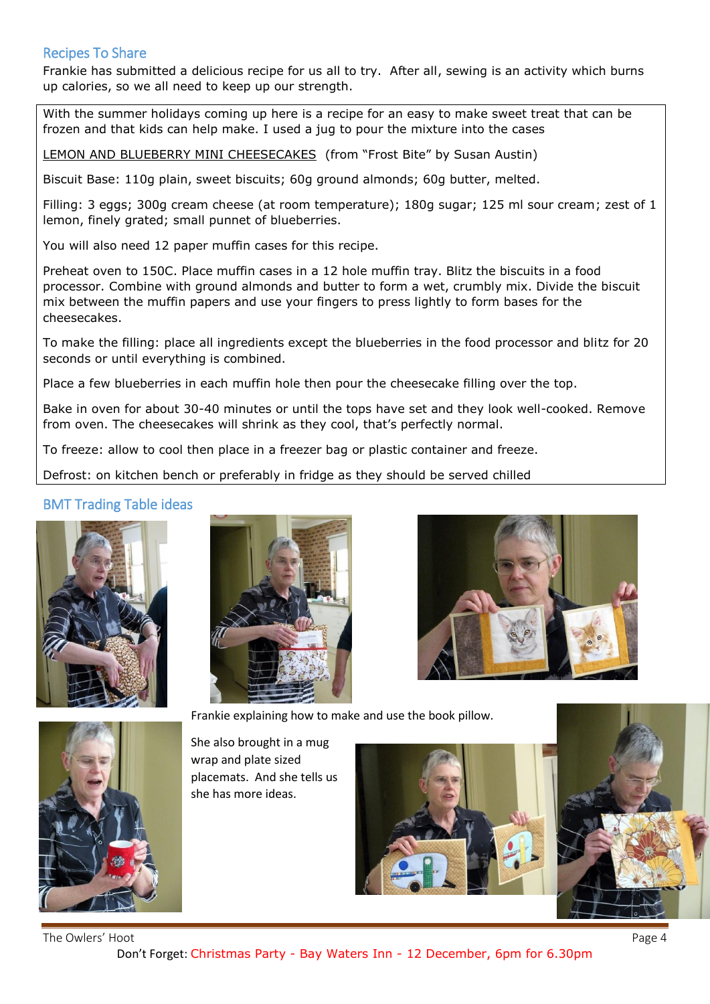# Recipes To Share

Frankie has submitted a delicious recipe for us all to try. After all, sewing is an activity which burns up calories, so we all need to keep up our strength.

With the summer holidays coming up here is a recipe for an easy to make sweet treat that can be frozen and that kids can help make. I used a jug to pour the mixture into the cases

LEMON AND BLUEBERRY MINI CHEESECAKES (from "Frost Bite" by Susan Austin)

Biscuit Base: 110g plain, sweet biscuits; 60g ground almonds; 60g butter, melted.

Filling: 3 eggs; 300g cream cheese (at room temperature); 180g sugar; 125 ml sour cream; zest of 1 lemon, finely grated; small punnet of blueberries.

You will also need 12 paper muffin cases for this recipe.

Preheat oven to 150C. Place muffin cases in a 12 hole muffin tray. Blitz the biscuits in a food processor. Combine with ground almonds and butter to form a wet, crumbly mix. Divide the biscuit mix between the muffin papers and use your fingers to press lightly to form bases for the cheesecakes.

To make the filling: place all ingredients except the blueberries in the food processor and blitz for 20 seconds or until everything is combined.

Place a few blueberries in each muffin hole then pour the cheesecake filling over the top.

Bake in oven for about 30-40 minutes or until the tops have set and they look well-cooked. Remove from oven. The cheesecakes will shrink as they cool, that's perfectly normal.

To freeze: allow to cool then place in a freezer bag or plastic container and freeze.

Defrost: on kitchen bench or preferably in fridge as they should be served chilled

## BMT Trading Table ideas







Frankie explaining how to make and use the book pillow.



She also brought in a mug wrap and plate sized placemats. And she tells us she has more ideas.





The Owlers' Hoot Page 4 Don't Forget: Christmas Party - Bay Waters Inn - 12 December, 6pm for 6.30pm